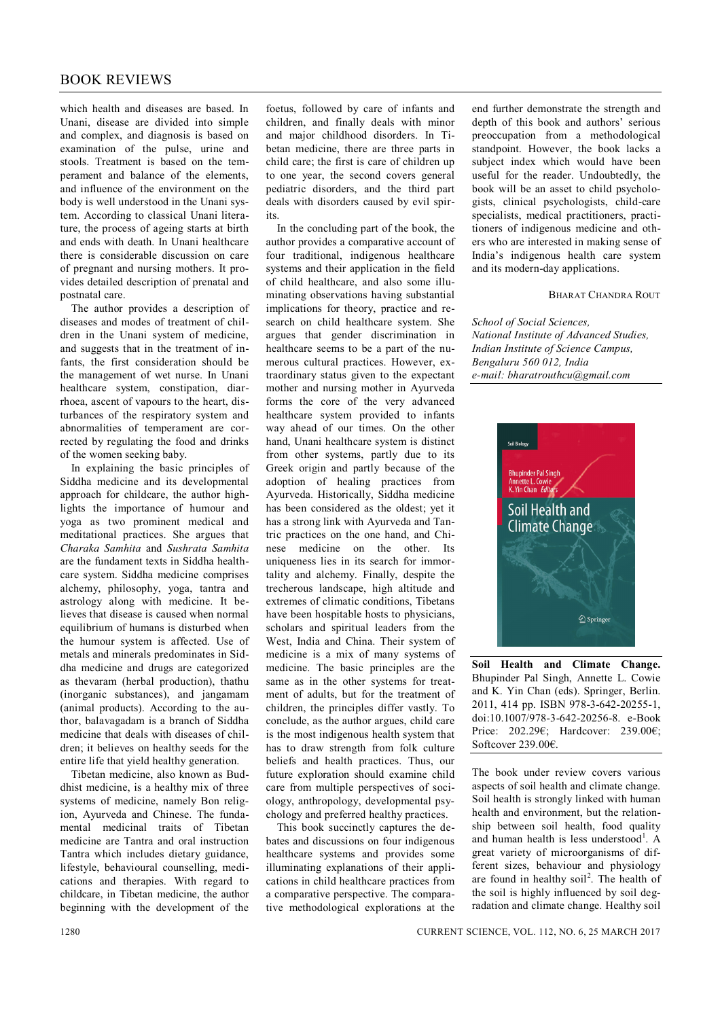## BOOK REVIEWS

which health and diseases are based. In Unani, disease are divided into simple and complex, and diagnosis is based on examination of the pulse, urine and stools. Treatment is based on the temperament and balance of the elements, and influence of the environment on the body is well understood in the Unani system. According to classical Unani literature, the process of ageing starts at birth and ends with death. In Unani healthcare there is considerable discussion on care of pregnant and nursing mothers. It provides detailed description of prenatal and postnatal care.

The author provides a description of diseases and modes of treatment of children in the Unani system of medicine, and suggests that in the treatment of infants, the first consideration should be the management of wet nurse. In Unani healthcare system, constipation, diarrhoea, ascent of vapours to the heart, disturbances of the respiratory system and abnormalities of temperament are corrected by regulating the food and drinks of the women seeking baby.

In explaining the basic principles of Siddha medicine and its developmental approach for childcare, the author highlights the importance of humour and yoga as two prominent medical and meditational practices. She argues that *Charaka Samhita* and *Sushrata Samhita* are the fundament texts in Siddha healthcare system. Siddha medicine comprises alchemy, philosophy, yoga, tantra and astrology along with medicine. It believes that disease is caused when normal equilibrium of humans is disturbed when the humour system is affected. Use of metals and minerals predominates in Siddha medicine and drugs are categorized as thevaram (herbal production), thathu (inorganic substances), and jangamam (animal products). According to the author, balavagadam is a branch of Siddha medicine that deals with diseases of children; it believes on healthy seeds for the entire life that yield healthy generation.

Tibetan medicine, also known as Buddhist medicine, is a healthy mix of three systems of medicine, namely Bon religion, Ayurveda and Chinese. The fundamental medicinal traits of Tibetan medicine are Tantra and oral instruction Tantra which includes dietary guidance, lifestyle, behavioural counselling, medications and therapies. With regard to childcare, in Tibetan medicine, the author beginning with the development of the

foetus, followed by care of infants and children, and finally deals with minor and major childhood disorders. In Tibetan medicine, there are three parts in child care; the first is care of children up to one year, the second covers general pediatric disorders, and the third part deals with disorders caused by evil spirits.

In the concluding part of the book, the author provides a comparative account of four traditional, indigenous healthcare systems and their application in the field of child healthcare, and also some illuminating observations having substantial implications for theory, practice and research on child healthcare system. She argues that gender discrimination in healthcare seems to be a part of the numerous cultural practices. However, extraordinary status given to the expectant mother and nursing mother in Ayurveda forms the core of the very advanced healthcare system provided to infants way ahead of our times. On the other hand, Unani healthcare system is distinct from other systems, partly due to its Greek origin and partly because of the adoption of healing practices from Ayurveda. Historically, Siddha medicine has been considered as the oldest; yet it has a strong link with Ayurveda and Tantric practices on the one hand, and Chinese medicine on the other. Its uniqueness lies in its search for immortality and alchemy. Finally, despite the trecherous landscape, high altitude and extremes of climatic conditions, Tibetans have been hospitable hosts to physicians, scholars and spiritual leaders from the West, India and China. Their system of medicine is a mix of many systems of medicine. The basic principles are the same as in the other systems for treatment of adults, but for the treatment of children, the principles differ vastly. To conclude, as the author argues, child care is the most indigenous health system that has to draw strength from folk culture beliefs and health practices. Thus, our future exploration should examine child care from multiple perspectives of sociology, anthropology, developmental psychology and preferred healthy practices.

This book succinctly captures the debates and discussions on four indigenous healthcare systems and provides some illuminating explanations of their applications in child healthcare practices from a comparative perspective. The comparative methodological explorations at the end further demonstrate the strength and depth of this book and authors' serious preoccupation from a methodological standpoint. However, the book lacks a subject index which would have been useful for the reader. Undoubtedly, the book will be an asset to child psychologists, clinical psychologists, child-care specialists, medical practitioners, practitioners of indigenous medicine and others who are interested in making sense of India's indigenous health care system and its modern-day applications.

## BHARAT CHANDRA ROUT

*School of Social Sciences, National Institute of Advanced Studies, Indian Institute of Science Campus, Bengaluru 560 012, India e-mail: bharatrouthcu@gmail.com*



**Soil Health and Climate Change.** Bhupinder Pal Singh, Annette L. Cowie and K. Yin Chan (eds). Springer, Berlin. 2011, 414 pp. ISBN 978-3-642-20255-1, doi:10.1007/978-3-642-20256-8. e-Book Price: 202.29€; Hardcover: 239.00€; Softcover 239.00€.

The book under review covers various aspects of soil health and climate change. Soil health is strongly linked with human health and environment, but the relationship between soil health, food quality and human health is less understood<sup>1</sup>. A great variety of microorganisms of different sizes, behaviour and physiology are found in healthy soil<sup>2</sup>. The health of the soil is highly influenced by soil degradation and climate change. Healthy soil